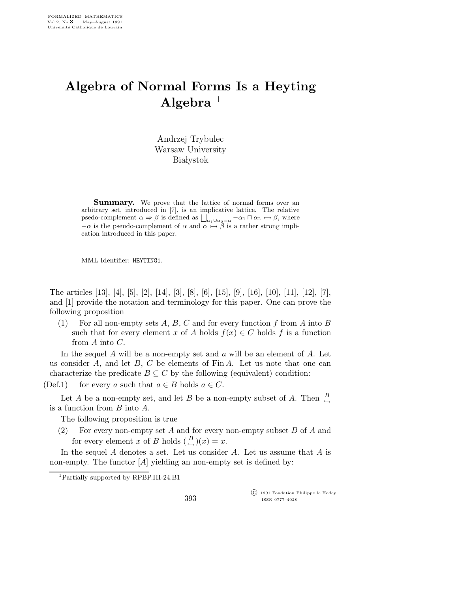## Algebra of Normal Forms Is a Heyting Algebra  $1$

Andrzej Trybulec Warsaw University **Białystok** 

**Summary.** We prove that the lattice of normal forms over an arbitrary set, introduced in [7], is an implicative lattice. The relative psedo-complement  $\alpha \Rightarrow \beta$  is defined as  $\bigsqcup_{\alpha_1\cup\alpha_2=\alpha} -\alpha_1 \sqcap \alpha_2 \rightarrow \beta$ , where  $-\alpha$  is the pseudo-complement of  $\alpha$  and  $\alpha \rightarrow \beta$  is a rather strong implication introduced in this paper.

MML Identifier: HEYTING1.

The articles [13], [4], [5], [2], [14], [3], [8], [6], [15], [9], [16], [10], [11], [12], [7], and [1] provide the notation and terminology for this paper. One can prove the following proposition

(1) For all non-empty sets A, B, C and for every function f from A into B such that for every element x of A holds  $f(x) \in C$  holds f is a function from A into C.

In the sequel  $A$  will be a non-empty set and  $a$  will be an element of  $A$ . Let us consider  $A$ , and let  $B$ ,  $C$  be elements of Fin  $A$ . Let us note that one can characterize the predicate  $B \subseteq C$  by the following (equivalent) condition:

(Def.1) for every a such that  $a \in B$  holds  $a \in C$ .

Let A be a non-empty set, and let B be a non-empty subset of A. Then  $\frac{B}{\hookrightarrow}$ is a function from B into A.

The following proposition is true

(2) For every non-empty set  $A$  and for every non-empty subset  $B$  of  $A$  and for every element x of B holds  $\binom{B}{\hookrightarrow}(x) = x$ .

In the sequel  $A$  denotes a set. Let us consider  $A$ . Let us assume that  $A$  is non-empty. The functor  $[A]$  yielding an non-empty set is defined by:

 c 1991 Fondation Philippe le Hodey ISSN 0777–4028

<sup>1</sup>Partially supported by RPBP.III-24.B1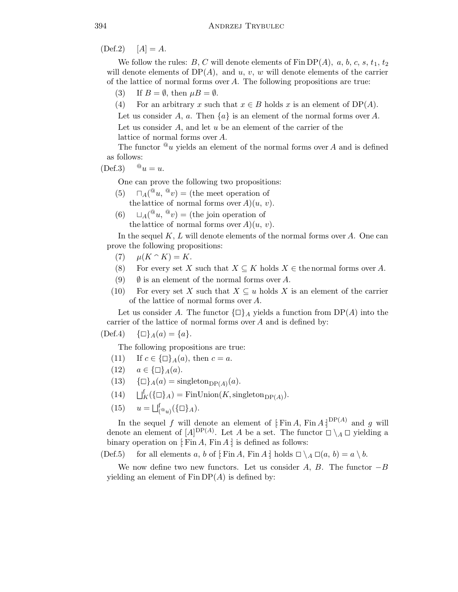$(Def.2)$   $[A] = A.$ 

We follow the rules: B, C will denote elements of  $\text{Fin DP}(A)$ , a, b, c, s, t<sub>1</sub>, t<sub>2</sub> will denote elements of  $DP(A)$ , and u, v, w will denote elements of the carrier of the lattice of normal forms over A. The following propositions are true:

- (3) If  $B = \emptyset$ , then  $\mu B = \emptyset$ .
- (4) For an arbitrary x such that  $x \in B$  holds x is an element of DP(A).

Let us consider A, a. Then  $\{a\}$  is an element of the normal forms over A. Let us consider  $A$ , and let  $u$  be an element of the carrier of the lattice of normal forms over A.

The functor  $\mathscr{L}_u$  yields an element of the normal forms over A and is defined as follows:

 $(\text{Def.3})$   $\mathbb{Q}_u = u$ .

One can prove the following two propositions:

- (5)  $\Box_A({}^{\mathcal{Q}}u, {}^{\mathcal{Q}}v) =$  (the meet operation of the lattice of normal forms over  $A(u, v)$ .
- (6)  $\Box_A({}^{\mathcal{Q}} u, {}^{\mathcal{Q}} v) =$  (the join operation of the lattice of normal forms over  $A(u, v)$ .

In the sequel  $K, L$  will denote elements of the normal forms over A. One can prove the following propositions:

- (7)  $\mu(K \cap K) = K$ .
- (8) For every set X such that  $X \subseteq K$  holds  $X \in$  the normal forms over A.
- (9)  $\emptyset$  is an element of the normal forms over A.
- (10) For every set X such that  $X \subseteq u$  holds X is an element of the carrier of the lattice of normal forms over A.

Let us consider A. The functor  $\{\Box\}_A$  yields a function from DP(A) into the carrier of the lattice of normal forms over A and is defined by:

 $(\text{Def.4}) \quad {\Box}_A(a) = \{a\}.$ 

The following propositions are true:

- (11) If  $c \in {\square}$   $_A(a)$ , then  $c = a$ .
- (12)  $a \in {\Box}_A(a)$ .
- (13)  ${\{\Box\}}_A(a) = \text{singleton}_{\text{DP}(A)}(a).$
- $(14)$  $K^{\dagger}(\{\Box\}_A) = \text{FinUnion}(K, \text{singleton}_{\text{DP}(A)}).$
- (15)  $u = \bigsqcup_{\binom{\circ}{a}}^f (\{\Box\}_A).$

In the sequel f will denote an element of  $\operatorname{Fin} A$ ,  $\operatorname{Fin} A$ ,  $\operatorname{Fin} A$  and g will denote an element of  $[A]^{DP(A)}$ . Let A be a set. The functor  $\Box \setminus_A \Box$  yielding a binary operation on [: Fin A, Fin A :] is defined as follows:

(Def.5) for all elements a, b of  $[Fin A, Fin A]$  holds  $\Box \setminus_A \Box(a, b) = a \setminus b$ .

We now define two new functors. Let us consider A, B. The functor  $-B$ yielding an element of  $\text{Fin} \text{DP}(A)$  is defined by: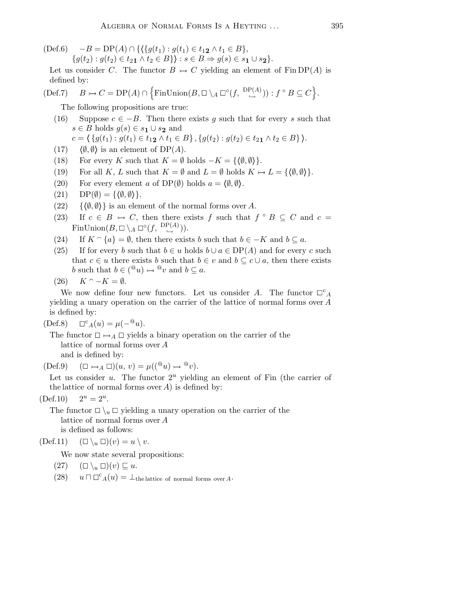$(\text{Def.6}) \quad -B = \text{DP}(A) \cap \{ \{ \{ g(t_1) : g(t_1) \in t_1 \mathbf{2} \land t_1 \in B \},\}$ 

 $\{g(t_2) : g(t_2) \in t_{21} \wedge t_2 \in B\}$ :  $s \in B \Rightarrow g(s) \in s_1 \cup s_2$ .

Let us consider C. The functor  $B \rightarrow C$  yielding an element of Fin DP(A) is defined by:

$$
(\text{Def.7}) \quad B \rightarrow C = \text{DP}(A) \cap \{ \text{FinUnion}(B, \Box \setminus_A \Box^{\circ}(f, \stackrel{\text{DP}(A)}{\hookrightarrow})) : f^{\circ} B \subseteq C \}.
$$

The following propositions are true:

(16) Suppose  $c \in -B$ . Then there exists g such that for every s such that  $s \in B$  holds  $g(s) \in s_1 \cup s_2$  and

$$
c = \{ \{ g(t_1) : g(t_1) \in t_1 \mid t_1 \in B \}, \{ g(t_2) : g(t_2) \in t_2 \mid t_2 \in B \} \}.
$$

- (17)  $\langle \emptyset, \emptyset \rangle$  is an element of DP(A).
- (18) For every K such that  $K = \emptyset$  holds  $-K = \{\langle \emptyset, \emptyset \rangle\}.$
- (19) For all K, L such that  $K = \emptyset$  and  $L = \emptyset$  holds  $K \rightarrow L = \{\langle \emptyset, \emptyset \rangle\}.$
- (20) For every element a of DP( $\emptyset$ ) holds  $a = \langle \emptyset, \emptyset \rangle$ .
- $(21) \quad \text{DP}(\emptyset) = \{\langle \emptyset, \emptyset \rangle\}.$
- (22) { $\langle \emptyset, \emptyset \rangle$ } is an element of the normal forms over A.
- (23) If  $c \in B \rightarrow C$ , then there exists f such that  $f \circ B \subseteq C$  and  $c =$ FinUnion $(B, \Box \setminus_A \Box^{\circ}(f, \stackrel{\mathrm{DP}(A)}{\hookrightarrow})).$
- (24) If  $K \cap \{a\} = \emptyset$ , then there exists b such that  $b \in -K$  and  $b \subseteq a$ .
- (25) If for every b such that  $b \in u$  holds  $b \cup a \in DP(A)$  and for every c such that  $c \in u$  there exists b such that  $b \in v$  and  $b \subseteq c \cup a$ , then there exists b such that  $b \in ({}^{\textcircled{a}} u) \rightarrow {}^{\textcircled{a}} v$  and  $b \subseteq a$ .
- $(26)$   $K \cap -K = \emptyset$ .

We now define four new functors. Let us consider A. The functor  $\Box^c{}_A$ yielding a unary operation on the carrier of the lattice of normal forms over A is defined by:

 $(Def.8)$  $\Box^{c}{}_{A}(u) = \mu(-{}^{\textcircled{a}}u).$ 

The functor  $\Box \rightarrow_A \Box$  yields a binary operation on the carrier of the lattice of normal forms over A and is defined by:

 $(\text{Def.9}) \quad (\Box \rightarrow_A \Box)(u, v) = \mu((^@u) \rightarrow ^@v).$ 

Let us consider u. The functor  $2^u$  yielding an element of Fin (the carrier of the lattice of normal forms over  $A$ ) is defined by:

 $(Def.10)$  $2^u = 2^u$ .

> The functor  $\Box \setminus_u \Box$  yielding a unary operation on the carrier of the lattice of normal forms over A is defined as follows:

 $(\text{Def.11}) \quad (\square \setminus_u \square)(v) = u \setminus v.$ 

We now state several propositions:

 $(27)$   $(\square \setminus_u \square)(v) \sqsubseteq u.$ 

 $(28)$   $u \sqcap \Box^c_A(u) = \bot$ the lattice of normal forms over A.